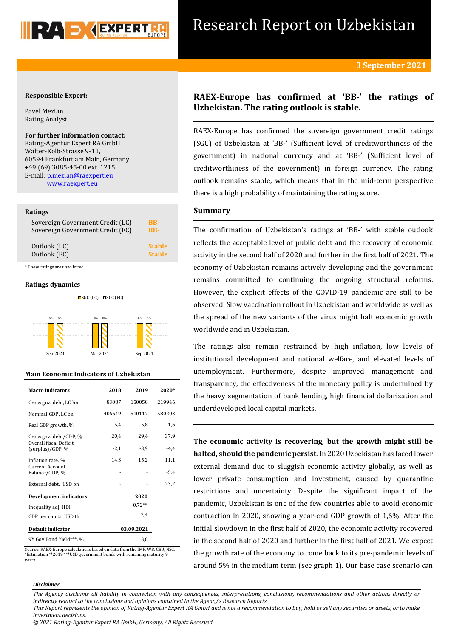

## **Responsible Expert:**

Pavel Mezian Rating Analyst

## **For further information contact:** Rating-Agentur Expert RA GmbH Walter-Kolb-Strasse 9-11, 60594 Frankfurt am Main, Germany +49 (69) 3085-45-00 ext. 1215 E-mail[: p.mezian@raexpert.eu](mailto:p.mezian@raexpert.eu) [www.raexpert.eu](http://raexpert.eu/)

### **Ratings**

| Sovereign Government Credit (LC) | <b>BB-</b>    |
|----------------------------------|---------------|
| Sovereign Government Credit (FC) | <b>BB-</b>    |
| Outlook (LC)                     | <b>Stable</b> |
| Outlook (FC)                     | <b>Stable</b> |

\* These ratings are unsolicited

### **Ratings dynamics**



## **Main Economic Indicators of Uzbekistan**

| <b>Macro</b> indicators                    | 2018       | 2019     | 2020*  |
|--------------------------------------------|------------|----------|--------|
| Gross gov. debt, LC bn                     | 83087      | 150050   | 219946 |
| Nominal GDP, LC bn                         | 406649     | 510117   | 580203 |
| Real GDP growth, %                         | 5,4        | 5,8      | 1,6    |
| Gross gov. debt/GDP, %                     | 20,4       | 29.4     | 37,9   |
| Overall fiscal Deficit<br>(surplus)/GDP, % | $-2,1$     | $-3,9$   | $-4,4$ |
| Inflation rate, %                          | 14,3       | 15,2     | 11,1   |
| Current Account<br>Balance/GDP, %          |            |          | $-5,4$ |
| External debt, USD bn                      |            |          | 23,2   |
| <b>Development indicators</b>              |            | 2020     |        |
| Inequality adj. HDI                        |            | $0.72**$ |        |
| GDP per capita, USD th                     |            | 7,3      |        |
| Default indicator                          | 03.09.2021 |          |        |
| 9Y Gov Bond Yield***, %                    |            | 3.8      |        |

Source: RAEX-Europe calculations based on data from the IMF, WB, CBU, NSC. \*Estimation \*\*2019 \*\*\*USD government bonds with remaining maturity 9 years

# **RAEX-Europe has confirmed at 'BB-' the ratings of Uzbekistan. The rating outlook is stable.**

RAEX-Europe has confirmed the sovereign government credit ratings (SGC) of Uzbekistan at 'BB-' (Sufficient level of creditworthiness of the government) in national currency and at 'BB-' (Sufficient level of creditworthiness of the government) in foreign currency. The rating outlook remains stable, which means that in the mid-term perspective there is a high probability of maintaining the rating score.

# **Summary**

The confirmation of Uzbekistan's ratings at 'BB-' with stable outlook reflects the acceptable level of public debt and the recovery of economic activity in the second half of 2020 and further in the first half of 2021. The economy of Uzbekistan remains actively developing and the government remains committed to continuing the ongoing structural reforms. However, the explicit effects of the COVID-19 pandemic are still to be observed. Slow vaccination rollout in Uzbekistan and worldwide as well as the spread of the new variants of the virus might halt economic growth worldwide and in Uzbekistan.

The ratings also remain restrained by high inflation, low levels of institutional development and national welfare, and elevated levels of unemployment. Furthermore, despite improved management and transparency, the effectiveness of the monetary policy is undermined by the heavy segmentation of bank lending, high financial dollarization and underdeveloped local capital markets.

**The economic activity is recovering, but the growth might still be halted, should the pandemic persist**. In 2020 Uzbekistan has faced lower external demand due to sluggish economic activity globally, as well as lower private consumption and investment, caused by quarantine restrictions and uncertainty. Despite the significant impact of the pandemic, Uzbekistan is one of the few countries able to avoid economic contraction in 2020, showing a year-end GDP growth of 1,6%. After the initial slowdown in the first half of 2020, the economic activity recovered in the second half of 2020 and further in the first half of 2021. We expect the growth rate of the economy to come back to its pre-pandemic levels of around 5% in the medium term (see graph 1). Our base case scenario can

### *Disclaimer*

*The Agency disclaims all liability in connection with any consequences, interpretations, conclusions, recommendations and other actions directly or indirectly related to the conclusions and opinions contained in the Agency's Research Reports.*

*This Report represents the opinion of Rating-Agentur Expert RA GmbH and is not a recommendation to buy, hold or sell any securities or assets, or to make investment decisions.*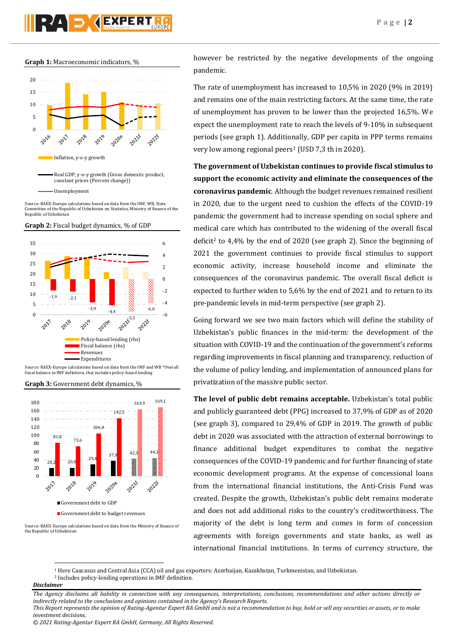**Graph 1:** Macroeconomic indicators, %





Source: RAEX-Europe calculations based on data from the IMF, WB, State Committee of the Republic of Uzbekistan on Statistics, Ministry of finance of the Republic of Uzbekistan





fiscal balance in IMF definition, that includes policy-based lending

**Graph 3:** Government debt dynamics, %



Source: RAEX-Europe calculations based on data from the Ministry of finance of the Republic of Uzbekistan

however be restricted by the negative developments of the ongoing pandemic.

The rate of unemployment has increased to 10,5% in 2020 (9% in 2019) and remains one of the main restricting factors. At the same time, the rate of unemployment has proven to be lower than the projected 16,5%. We expect the unemployment rate to reach the levels of 9-10% in subsequent periods (see graph 1). Additionally, GDP per capita in PPP terms remains very low among regional peers<sup>1</sup> (USD 7,3 th in 2020).

**The government of Uzbekistan continues to provide fiscal stimulus to support the economic activity and eliminate the consequences of the coronavirus pandemic**. Although the budget revenues remained resilient in 2020, due to the urgent need to cushion the effects of the COVID-19 pandemic the government had to increase spending on social sphere and medical care which has contributed to the widening of the overall fiscal deficit<sup>2</sup> to 4,4% by the end of 2020 (see graph 2). Since the beginning of 2021 the government continues to provide fiscal stimulus to support economic activity, increase household income and eliminate the consequences of the coronavirus pandemic. The overall fiscal deficit is expected to further widen to 5,6% by the end of 2021 and to return to its pre-pandemic levels in mid-term perspective (see graph 2).

Going forward we see two main factors which will define the stability of Uzbekistan's public finances in the mid-term: the development of the situation with COVID-19 and the continuation of the government's reforms regarding improvements in fiscal planning and transparency, reduction of the volume of policy lending, and implementation of announced plans for privatization of the massive public sector.

**The level of public debt remains acceptable.** Uzbekistan's total public and publicly guaranteed debt (PPG) increased to 37,9% of GDP as of 2020 (see graph 3), compared to 29,4% of GDP in 2019. The growth of public debt in 2020 was associated with the attraction of external borrowings to finance additional budget expenditures to combat the negative consequences of the COVID-19 pandemic and for further financing of state economic development programs. At the expense of concessional loans from the international financial institutions, the Anti-Crisis Fund was created. Despite the growth, Uzbekistan's public debt remains moderate and does not add additional risks to the country's creditworthiness. The majority of the debt is long term and comes in form of concession agreements with foreign governments and state banks, as well as international financial institutions. In terms of currency structure, the

<sup>1</sup> Here Caucasus and Central Asia (CCA) oil and gas exporters: Azerbaijan, Kazakhstan, Turkmenistan, and Uzbekistan.

<sup>2</sup> Includes policy-lending operations in IMF definition.

*Disclaimer* 

**.** 

*The Agency disclaims all liability in connection with any consequences, interpretations, conclusions, recommendations and other actions directly or indirectly related to the conclusions and opinions contained in the Agency's Research Reports.*

*This Report represents the opinion of Rating-Agentur Expert RA GmbH and is not a recommendation to buy, hold or sell any securities or assets, or to make investment decisions.*

*© 2021 Rating-Agentur Expert RA GmbH, Germany, All Rights Reserved.*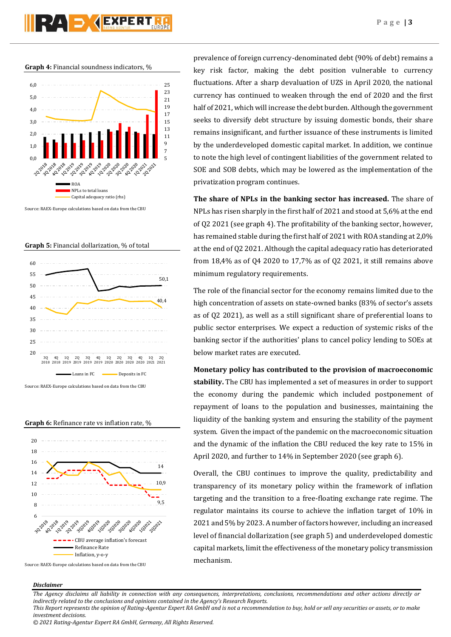

**Graph 4:** Financial soundness indicators, %



Source: RAEX-Europe calculations based on data from the CBU







Source: RAEX-Europe calculations based on data from the CBU

prevalence of foreign currency-denominated debt (90% of debt) remains a key risk factor, making the debt position vulnerable to currency fluctuations. After a sharp devaluation of UZS in April 2020, the national currency has continued to weaken through the end of 2020 and the first half of 2021, which will increase the debt burden. Although the government seeks to diversify debt structure by issuing domestic bonds, their share remains insignificant, and further issuance of these instruments is limited by the underdeveloped domestic capital market. In addition, we continue to note the high level of contingent liabilities of the government related to SOE and SOB debts, which may be lowered as the implementation of the privatization program continues.

**The share of NPLs in the banking sector has increased.** The share of NPLs has risen sharply in the first half of 2021 and stood at 5,6% at the end of Q2 2021 (see graph 4). The profitability of the banking sector, however, has remained stable during the first half of 2021 with ROA standing at 2,0% at the end of Q2 2021. Although the capital adequacy ratio has deteriorated from 18,4% as of Q4 2020 to 17,7% as of Q2 2021, it still remains above minimum regulatory requirements.

The role of the financial sector for the economy remains limited due to the high concentration of assets on state-owned banks (83% of sector's assets as of Q2 2021), as well as a still significant share of preferential loans to public sector enterprises. We expect a reduction of systemic risks of the banking sector if the authorities' plans to cancel policy lending to SOEs at below market rates are executed.

**Monetary policy has contributed to the provision of macroeconomic stability.** The CBU has implemented a set of measures in order to support the economy during the pandemic which included postponement of repayment of loans to the population and businesses, maintaining the liquidity of the banking system and ensuring the stability of the payment system. Given the impact of the pandemic on the macroeconomic situation and the dynamic of the inflation the CBU reduced the key rate to 15% in April 2020, and further to 14% in September 2020 (see graph 6).

Overall, the CBU continues to improve the quality, predictability and transparency of its monetary policy within the framework of inflation targeting and the transition to a free-floating exchange rate regime. The regulator maintains its course to achieve the inflation target of 10% in 2021 and 5% by 2023. A number of factors however, including an increased level of financial dollarization (see graph 5) and underdeveloped domestic capital markets, limit the effectiveness of the monetary policy transmission mechanism.

### *Disclaimer*

*The Agency disclaims all liability in connection with any consequences, interpretations, conclusions, recommendations and other actions directly or indirectly related to the conclusions and opinions contained in the Agency's Research Reports.*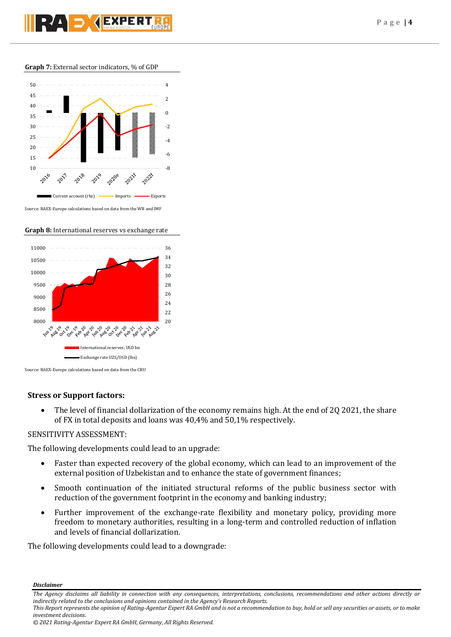## **Graph 7:** External sector indicators, % of GDP



Source: RAEX-Europe calculations based on data from the WB and IMF

## **Graph 8:** International reserves vs exchange rate



Source: RAEX-Europe calculations based on data from the CBU

# **Stress or Support factors:**

 The level of financial dollarization of the economy remains high. At the end of 2Q 2021, the share of FX in total deposits and loans was 40,4% and 50,1% respectively.

# SENSITIVITY ASSESSMENT:

The following developments could lead to an upgrade:

- Faster than expected recovery of the global economy, which can lead to an improvement of the external position of Uzbekistan and to enhance the state of government finances;
- Smooth continuation of the initiated structural reforms of the public business sector with reduction of the government footprint in the economy and banking industry;
- Further improvement of the exchange-rate flexibility and monetary policy, providing more freedom to monetary authorities, resulting in a long-term and controlled reduction of inflation and levels of financial dollarization.

The following developments could lead to a downgrade:

*Disclaimer* 

*The Agency disclaims all liability in connection with any consequences, interpretations, conclusions, recommendations and other actions directly or indirectly related to the conclusions and opinions contained in the Agency's Research Reports.*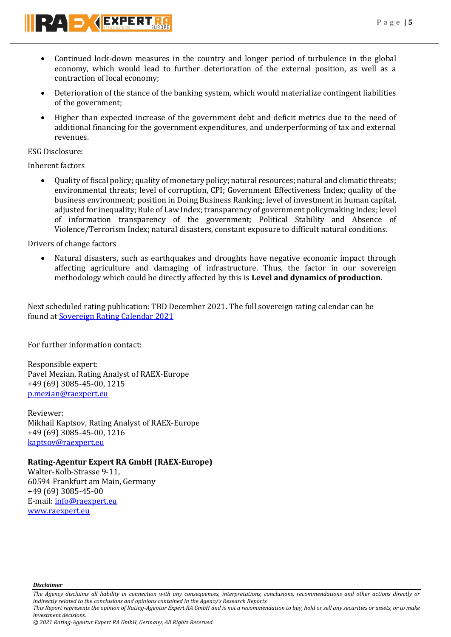

- Continued lock-down measures in the country and longer period of turbulence in the global economy, which would lead to further deterioration of the external position, as well as a contraction of local economy;
- Deterioration of the stance of the banking system, which would materialize contingent liabilities of the government;
- Higher than expected increase of the government debt and deficit metrics due to the need of additional financing for the government expenditures, and underperforming of tax and external revenues.

ESG Disclosure:

Inherent factors

 Quality of fiscal policy; quality of monetary policy; natural resources; natural and climatic threats; environmental threats; level of corruption, CPI; Government Effectiveness Index; quality of the business environment; position in Doing Business Ranking; level of investment in human capital, adjusted for inequality; Rule of Law Index; transparency of government policymaking Index; level of information transparency of the government; Political Stability and Absence of Violence/Terrorism Index; natural disasters, constant exposure to difficult natural conditions.

Drivers of change factors

 Natural disasters, such as earthquakes and droughts have negative economic impact through affecting agriculture and damaging of infrastructure. Thus, the factor in our sovereign methodology which could be directly affected by this is **Level and dynamics of production**.

Next scheduled rating publication: TBD December 2021**.** The full sovereign rating calendar can be found at [Sovereign Rating Calendar](https://raexpert.eu/sovereign/#conf-tab-5) 2021

For further information contact:

Responsible expert: Pavel Mezian, Rating Analyst of RAEX-Europe +49 (69) 3085-45-00, 1215 [p.mezian@raexpert.eu](mailto:p.mezian@raexpert.eu)

Reviewer: Mikhail Kaptsov, Rating Analyst of RAEX-Europe +49 (69) 3085-45-00, 1216 [kaptsov@raexpert.eu](mailto:kaptsov@raexpert.eu)

# **Rating-Agentur Expert RA GmbH (RAEX-Europe)**

Walter-Kolb-Strasse 9-11, 60594 Frankfurt am Main, Germany +49 (69) 3085-45-00 E-mail[: info@raexpert.eu](mailto:info@raexpert.eu) [www.raexpert.eu](http://raexpert.eu/)

*Disclaimer* 

*investment decisions.*

*The Agency disclaims all liability in connection with any consequences, interpretations, conclusions, recommendations and other actions directly or indirectly related to the conclusions and opinions contained in the Agency's Research Reports. This Report represents the opinion of Rating-Agentur Expert RA GmbH and is not a recommendation to buy, hold or sell any securities or assets, or to make*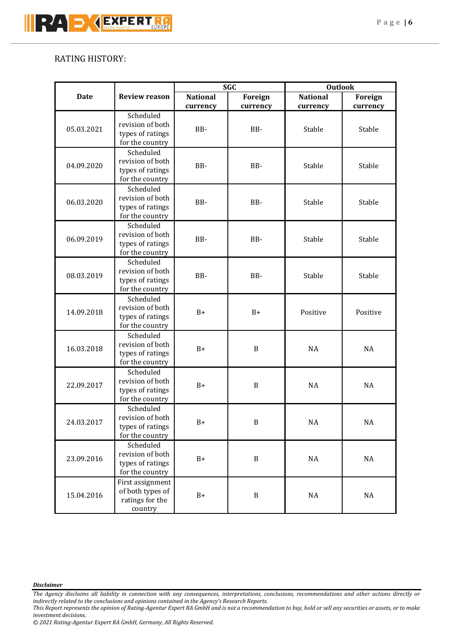# RATING HISTORY:

|             |                                                                      | <b>SGC</b>      |              | <b>Outlook</b>  |           |
|-------------|----------------------------------------------------------------------|-----------------|--------------|-----------------|-----------|
| <b>Date</b> | <b>Review reason</b>                                                 | <b>National</b> | Foreign      | <b>National</b> | Foreign   |
|             |                                                                      | currency        | currency     | currency        | currency  |
| 05.03.2021  | Scheduled<br>revision of both<br>types of ratings<br>for the country | BB-             | BB-          | Stable          | Stable    |
| 04.09.2020  | Scheduled<br>revision of both<br>types of ratings<br>for the country | BB-             | BB-          | Stable          | Stable    |
| 06.03.2020  | Scheduled<br>revision of both<br>types of ratings<br>for the country | BB-             | BB-          | Stable          | Stable    |
| 06.09.2019  | Scheduled<br>revision of both<br>types of ratings<br>for the country | BB-             | BB-          | Stable          | Stable    |
| 08.03.2019  | Scheduled<br>revision of both<br>types of ratings<br>for the country | BB-             | BB-          | Stable          | Stable    |
| 14.09.2018  | Scheduled<br>revision of both<br>types of ratings<br>for the country | $B+$            | $B+$         | Positive        | Positive  |
| 16.03.2018  | Scheduled<br>revision of both<br>types of ratings<br>for the country | $B+$            | $\, {\bf B}$ | <b>NA</b>       | <b>NA</b> |
| 22.09.2017  | Scheduled<br>revision of both<br>types of ratings<br>for the country | $B+$            | $\, {\bf B}$ | <b>NA</b>       | <b>NA</b> |
| 24.03.2017  | Scheduled<br>revision of both<br>types of ratings<br>for the country | $B+$            | $\, {\bf B}$ | <b>NA</b>       | NA        |
| 23.09.2016  | Scheduled<br>revision of both<br>types of ratings<br>for the country | $B+$            | $\, {\bf B}$ | $\rm NA$        | $\rm NA$  |
| 15.04.2016  | First assignment<br>of both types of<br>ratings for the<br>country   | $B+$            | $\, {\bf B}$ | $\rm NA$        | $\rm NA$  |

*Disclaimer* 

*The Agency disclaims all liability in connection with any consequences, interpretations, conclusions, recommendations and other actions directly or indirectly related to the conclusions and opinions contained in the Agency's Research Reports.*